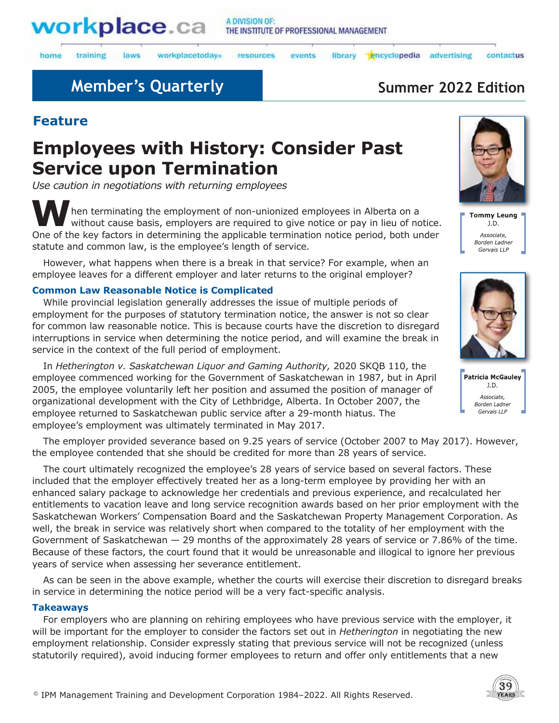

laws

#### A DIVISION OF: THE INSTITUTE OF PROFESSIONAL MANAGEMENT

home training workplacetodays

resources events

library encyclopedia advertising contactus

## **Member's Quarterly Summer 2022 Edition**

## **Feature**

# **Employees with History: Consider Past Service upon Termination**

*Use caution in negotiations with returning employees* 

**W**hen terminating the employment of non-unionized employees in Alberta on a without cause basis, employers are required to give notice or pay in lieu of notice. One of the key factors in determining the applicable termination notice period, both under statute and common law, is the employee's length of service.

However, what happens when there is a break in that service? For example, when an employee leaves for a different employer and later returns to the original employer?

### **Common Law Reasonable Notice is Complicated**

While provincial legislation generally addresses the issue of multiple periods of employment for the purposes of statutory termination notice, the answer is not so clear for common law reasonable notice. This is because courts have the discretion to disregard interruptions in service when determining the notice period, and will examine the break in service in the context of the full period of employment.

In *Hetherington v. Saskatchewan Liquor and Gaming Authority,* 2020 SKQB 110, the employee commenced working for the Government of Saskatchewan in 1987, but in April 2005, the employee voluntarily left her position and assumed the position of manager of organizational development with the City of Lethbridge, Alberta. In October 2007, the employee returned to Saskatchewan public service after a 29-month hiatus. The employee's employment was ultimately terminated in May 2017.

The employer provided severance based on 9.25 years of service (October 2007 to May 2017). However, the employee contended that she should be credited for more than 28 years of service.

The court ultimately recognized the employee's 28 years of service based on several factors. These included that the employer effectively treated her as a long-term employee by providing her with an enhanced salary package to acknowledge her credentials and previous experience, and recalculated her entitlements to vacation leave and long service recognition awards based on her prior employment with the Saskatchewan Workers' Compensation Board and the Saskatchewan Property Management Corporation. As well, the break in service was relatively short when compared to the totality of her employment with the Government of Saskatchewan — 29 months of the approximately 28 years of service or 7.86% of the time. Because of these factors, the court found that it would be unreasonable and illogical to ignore her previous years of service when assessing her severance entitlement.

As can be seen in the above example, whether the courts will exercise their discretion to disregard breaks in service in determining the notice period will be a very fact-specific analysis.

### **Takeaways**

For employers who are planning on rehiring employees who have previous service with the employer, it will be important for the employer to consider the factors set out in *Hetherington* in negotiating the new employment relationship. Consider expressly stating that previous service will not be recognized (unless statutorily required), avoid inducing former employees to return and offer only entitlements that a new







Patricia McGauley  $J.D.$ Associate, Borden Ladner Gervais LLP